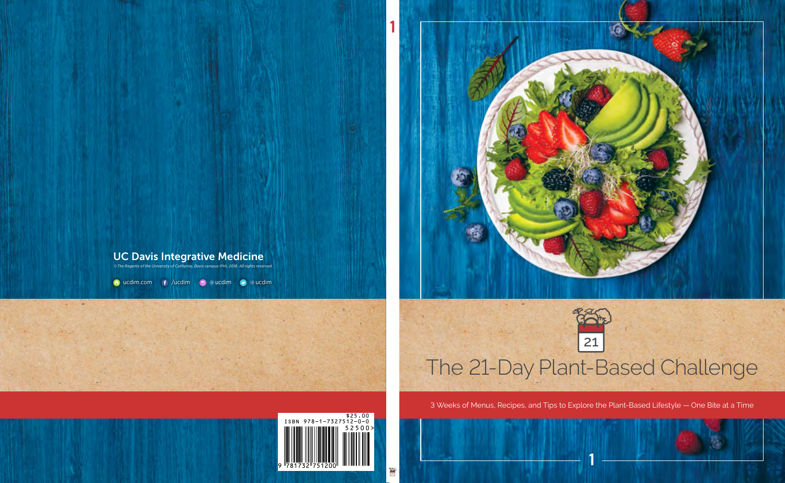# The 21-Day Plant-Based Challenge

1

 $21$ 





### UC Davis Integrative Medicine

© *The Regents of the University of California, Davis campus IPHI, 2018. All rights reserved.*

**a** ucdim.com **f** /ucdim **@** @ ucdim **@** @ ucdim

3 Weeks of Menus, Recipes, and Tips to Explore the Plant-Based Lifestyle — One Bite at a Time

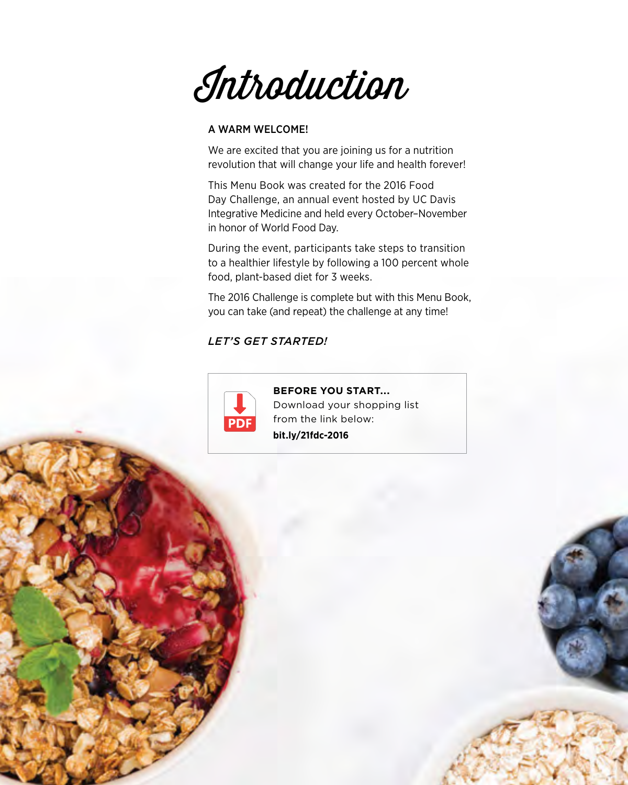Introduction

#### A WARM WELCOME!

We are excited that you are joining us for a nutrition revolution that will change your life and health forever!

This Menu Book was created for the 2016 Food Day Challenge, an annual event hosted by UC Davis Integrative Medicine and held every October–November in honor of World Food Day.

During the event, participants take steps to transition to a healthier lifestyle by following a 100 percent whole food, plant-based diet for 3 weeks.

The 2016 Challenge is complete but with this Menu Book, you can take (and repeat) the challenge at any time!

#### *LET'S GET STARTED!*



**BEFORE YOU START...** Download your shopping list from the link below: **[bit.ly/21fdc-2016](https://s3.amazonaws.com/ucdim/wp-content/uploads/20180625110208/2016-Grocery-Lists.pdf)**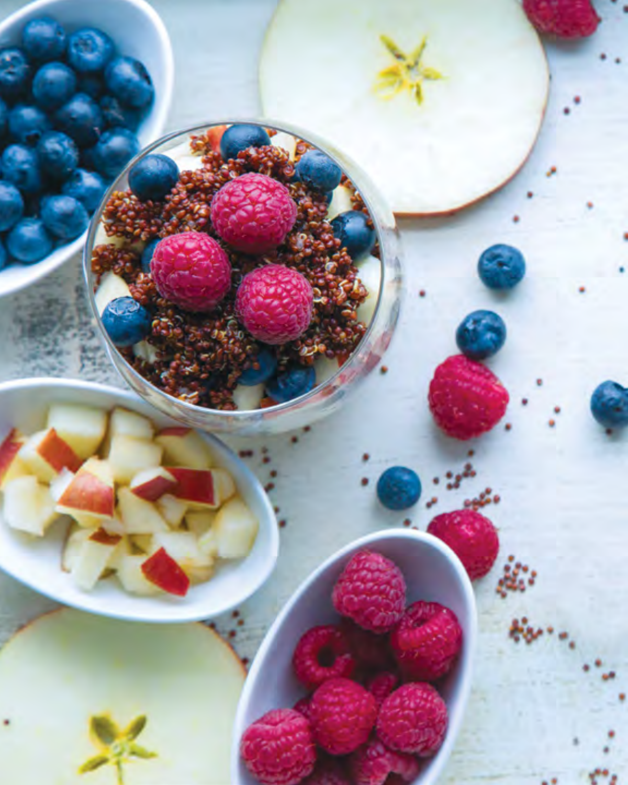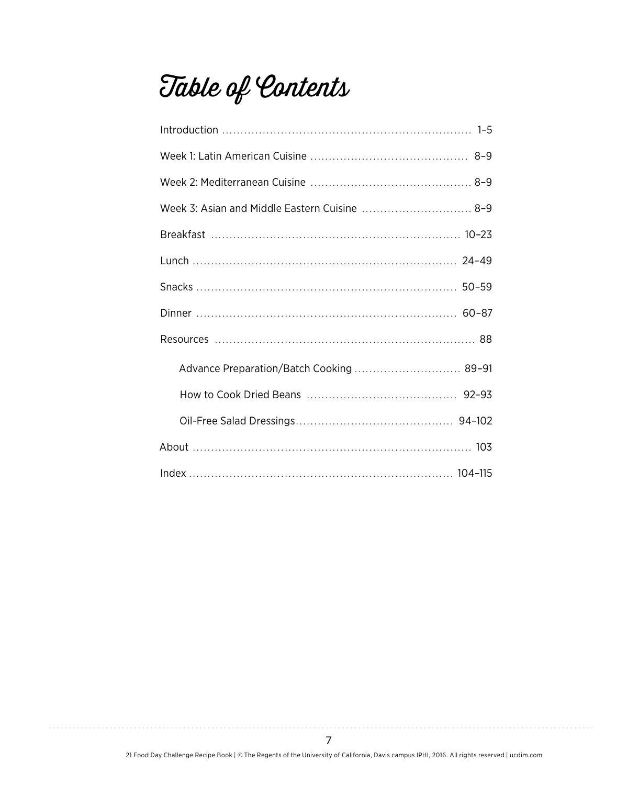# Table of Contents

| Week 3: Asian and Middle Eastern Cuisine  8-9 |  |
|-----------------------------------------------|--|
|                                               |  |
|                                               |  |
|                                               |  |
|                                               |  |
|                                               |  |
| Advance Preparation/Batch Cooking 89-91       |  |
|                                               |  |
|                                               |  |
|                                               |  |
|                                               |  |

21 Food Day Challenge Recipe Book | © The Regents of the University of California, Davis campus IPHI, 2016. All rights reserved | ucdim.com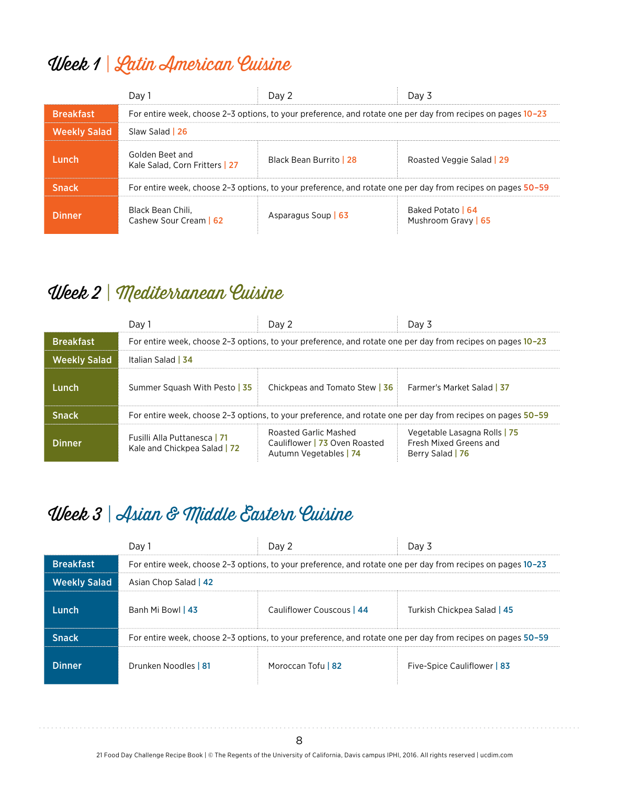## Week 1 | Latin American Cuisine

|                     | Dav 1                                                                                                       | Day 2                   | Day 3                                    |  |
|---------------------|-------------------------------------------------------------------------------------------------------------|-------------------------|------------------------------------------|--|
| <b>Rreakfast</b>    | For entire week, choose 2-3 options, to your preference, and rotate one per day from recipes on pages 10-23 |                         |                                          |  |
| <b>Weekly Salad</b> | Slaw Salad 26                                                                                               |                         |                                          |  |
|                     | Golden Beet and<br>Kale Salad. Corn Fritters 27                                                             | Black Bean Burrito   28 | Roasted Veggie Salad   29                |  |
| <b>Snack</b>        | For entire week, choose 2-3 options, to your preference, and rotate one per day from recipes on pages 50-59 |                         |                                          |  |
|                     | Black Bean Chili.<br>Cashew Sour Cream   62                                                                 | Asparagus Soup   63     | Baked Potato   64<br>Mushroom Gravy   65 |  |

### Week 2 | Mediterranean Cuisine

|                     | Dav i                                                                                                       | Dav 2                                                                                       | Dav 3                                                                     |  |
|---------------------|-------------------------------------------------------------------------------------------------------------|---------------------------------------------------------------------------------------------|---------------------------------------------------------------------------|--|
| <b>Breakfast</b>    | For entire week, choose 2–3 options, to your preference, and rotate one per day from recipes on pages 10–23 |                                                                                             |                                                                           |  |
| <b>Weekly Salad</b> | Italian Salad   34                                                                                          |                                                                                             |                                                                           |  |
| Lunch               |                                                                                                             | Summer Squash With Pesto   35   Chickpeas and Tomato Stew   36   Farmer's Market Salad   37 |                                                                           |  |
|                     | For entire week, choose 2–3 options, to your preference, and rotate one per day from recipes on pages 50–59 |                                                                                             |                                                                           |  |
| Dinner              | Fusilli Alla Puttanesca   71<br>Kale and Chickpea Salad   72                                                | Roasted Garlic Mashed<br>Cauliflower   73 Oven Roasted<br>Autumn Vegetables   74            | Vegetable Lasagna Rolls   75<br>Fresh Mixed Greens and<br>Berry Salad 176 |  |

## Week 3 | Asian & Middle Eastern Cuisine

|                     | Dav i                                                                                                       | Day 2                     | Day 3                              |  |
|---------------------|-------------------------------------------------------------------------------------------------------------|---------------------------|------------------------------------|--|
| <b>Breakfast</b>    | For entire week, choose 2-3 options, to your preference, and rotate one per day from recipes on pages 10-23 |                           |                                    |  |
| <b>Weekly Salad</b> | Asian Chop Salad   42                                                                                       |                           |                                    |  |
| l unch              | Banh Mi Bowl   43                                                                                           | Cauliflower Couscous   44 | Turkish Chickpea Salad   45        |  |
| Snack               | For entire week, choose 2-3 options, to your preference, and rotate one per day from recipes on pages 50-59 |                           |                                    |  |
| Dinner              | Drunken Noodles   81                                                                                        | Moroccan Tofu   82        | <b>Five-Spice Cauliflower   83</b> |  |

8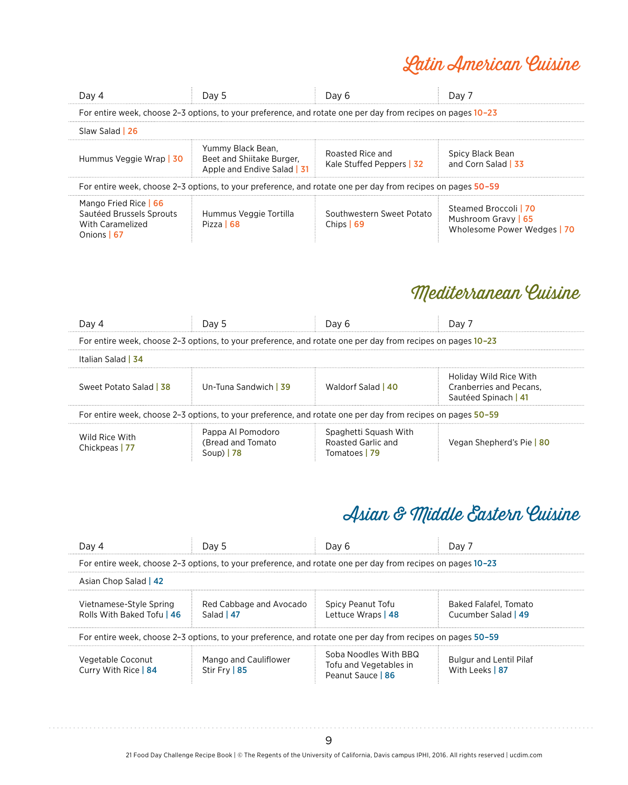## Latin American Cuisine

| Dav 4                                                                                     | Day 5                                                                                                       | Day 6                                         | Dav 7                                                                       |
|-------------------------------------------------------------------------------------------|-------------------------------------------------------------------------------------------------------------|-----------------------------------------------|-----------------------------------------------------------------------------|
|                                                                                           | For entire week, choose 2-3 options, to your preference, and rotate one per day from recipes on pages 10-23 |                                               |                                                                             |
| Slaw Salad   26                                                                           |                                                                                                             |                                               |                                                                             |
| Hummus Veggie Wrap   30                                                                   | Yummy Black Bean,<br>Beet and Shiitake Burger.<br>Apple and Endive Salad   31                               | Roasted Rice and<br>Kale Stuffed Peppers   32 | Spicy Black Bean<br>and Corn Salad 33                                       |
|                                                                                           | For entire week, choose 2–3 options, to your preference, and rotate one per day from recipes on pages 50–59 |                                               |                                                                             |
| Mango Fried Rice   66<br>Sautéed Brussels Sprouts<br>With Caramelized<br>Onions <b>67</b> | Hummus Veggie Tortilla<br>Pizza   68                                                                        | Southwestern Sweet Potato<br>Chips   69       | Steamed Broccoli   70<br>Mushroom Gravy   65<br>Wholesome Power Wedges   70 |

### Mediterranean Cuisine

| Dav 4                            | Dav 5                                  | Day 6                                                                                                       | Dav 7                                                                     |
|----------------------------------|----------------------------------------|-------------------------------------------------------------------------------------------------------------|---------------------------------------------------------------------------|
|                                  |                                        | For entire week, choose 2-3 options, to your preference, and rotate one per day from recipes on pages 10-23 |                                                                           |
| Italian Salad   34               |                                        |                                                                                                             |                                                                           |
| Sweet Potato Salad   38          | Un-Tuna Sandwich 139                   | Waldorf Salad   40                                                                                          | Holiday Wild Rice With<br>Cranberries and Pecans.<br>Sautéed Spinach   41 |
|                                  |                                        | For entire week, choose 2–3 options, to your preference, and rotate one per day from recipes on pages 50–59 |                                                                           |
| Wild Rice With<br>Chickneas   77 | Pappa Al Pomodoro<br>(Bread and Tomato | Spaghetti Squash With<br>Roasted Garlic and<br>Tomatoes   79                                                | Vegan Shepherd's Pie   80                                                 |

## Asian & Middle Eastern Cuisine

| Dav 4                                                 | Day 5                                                                                                       | Day 6                                                                | Day 7                                             |
|-------------------------------------------------------|-------------------------------------------------------------------------------------------------------------|----------------------------------------------------------------------|---------------------------------------------------|
|                                                       | For entire week, choose 2-3 options, to your preference, and rotate one per day from recipes on pages 10-23 |                                                                      |                                                   |
| Asian Chop Salad   42                                 |                                                                                                             |                                                                      |                                                   |
| Vietnamese-Style Spring<br>Rolls With Baked Tofu   46 | Red Cabbage and Avocado<br>Salad   47                                                                       | Spicy Peanut Tofu<br>Lettuce Wraps   48                              | Baked Falafel, Tomato<br>Cucumber Salad   49      |
|                                                       | For entire week, choose 2-3 options, to your preference, and rotate one per day from recipes on pages 50-59 |                                                                      |                                                   |
| Vegetable Coconut<br>Curry With Rice   84             | Mango and Cauliflower<br>Stir Fry   85                                                                      | Soba Noodles With BBQ<br>Tofu and Vegetables in<br>Peanut Sauce   86 | <b>Bulgur and Lentil Pilaf</b><br>With Leeks   87 |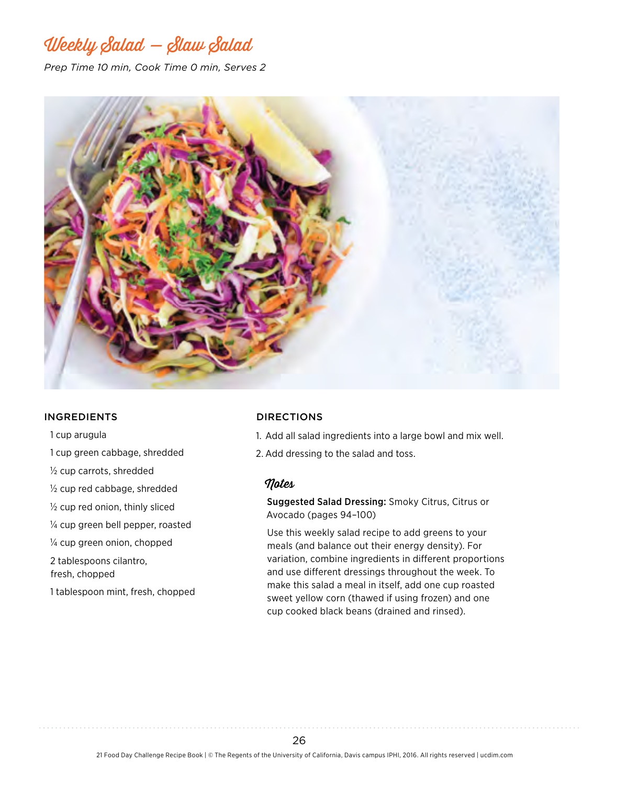### Weekly Salad — Slaw Salad

*Prep Time 10 min, Cook Time 0 min, Serves 2* 



#### INGREDIENTS

1 cup arugula

- 1 cup green cabbage, shredded
- 1/2 cup carrots, shredded
- 1/2 cup red cabbage, shredded
- $\frac{1}{2}$  cup red onion, thinly sliced
- 1/4 cup green bell pepper, roasted

1/4 cup green onion, chopped

2 tablespoons cilantro, fresh, chopped

1 tablespoon mint, fresh, chopped

#### DIRECTIONS

- 1. Add all salad ingredients into a large bowl and mix well.
- 2. Add dressing to the salad and toss.

#### Notes

Suggested Salad Dressing: Smoky Citrus, Citrus or Avocado (pages 94–100)

Use this weekly salad recipe to add greens to your meals (and balance out their energy density). For variation, combine ingredients in different proportions and use different dressings throughout the week. To make this salad a meal in itself, add one cup roasted sweet yellow corn (thawed if using frozen) and one cup cooked black beans (drained and rinsed).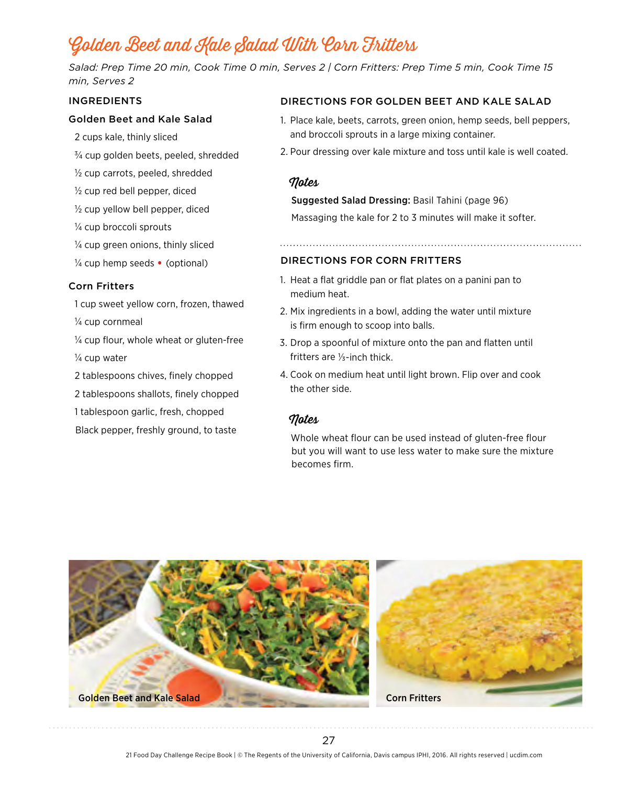## Golden Beet and Kale Salad With Corn Fritters

*Salad: Prep Time 20 min, Cook Time 0 min, Serves 2 | Corn Fritters: Prep Time 5 min, Cook Time 15 min, Serves 2* 

#### INGREDIENTS

#### Golden Beet and Kale Salad

2 cups kale, thinly sliced

- 3/4 cup golden beets, peeled, shredded
- 1/2 cup carrots, peeled, shredded
- $1/2$  cup red bell pepper, diced
- $\frac{1}{2}$  cup yellow bell pepper, diced
- 1/4 cup broccoli sprouts
- $\frac{1}{4}$  cup green onions, thinly sliced
- $\frac{1}{4}$  cup hemp seeds (optional)

#### Corn Fritters

- 1 cup sweet yellow corn, frozen, thawed
- 1/4 cup cornmeal
- $\frac{1}{4}$  cup flour, whole wheat or gluten-free  $\frac{1}{4}$  cup water
- 2 tablespoons chives, finely chopped
- 2 tablespoons shallots, finely chopped
- 1 tablespoon garlic, fresh, chopped
- Black pepper, freshly ground, to taste

#### DIRECTIONS FOR GOLDEN BEET AND KALE SALAD

- 1. Place kale, beets, carrots, green onion, hemp seeds, bell peppers, and broccoli sprouts in a large mixing container.
- 2. Pour dressing over kale mixture and toss until kale is well coated.

#### Notes

Suggested Salad Dressing: Basil Tahini (page 96)

Massaging the kale for 2 to 3 minutes will make it softer.

#### DIRECTIONS FOR CORN FRITTERS

- 1. Heat a flat griddle pan or flat plates on a panini pan to medium heat.
- 2. Mix ingredients in a bowl, adding the water until mixture is firm enough to scoop into balls.
- 3. Drop a spoonful of mixture onto the pan and flatten until fritters are  $\frac{1}{3}$ -inch thick.
- 4. Cook on medium heat until light brown. Flip over and cook the other side.

#### **notes**

Whole wheat flour can be used instead of gluten-free flour but you will want to use less water to make sure the mixture becomes firm.

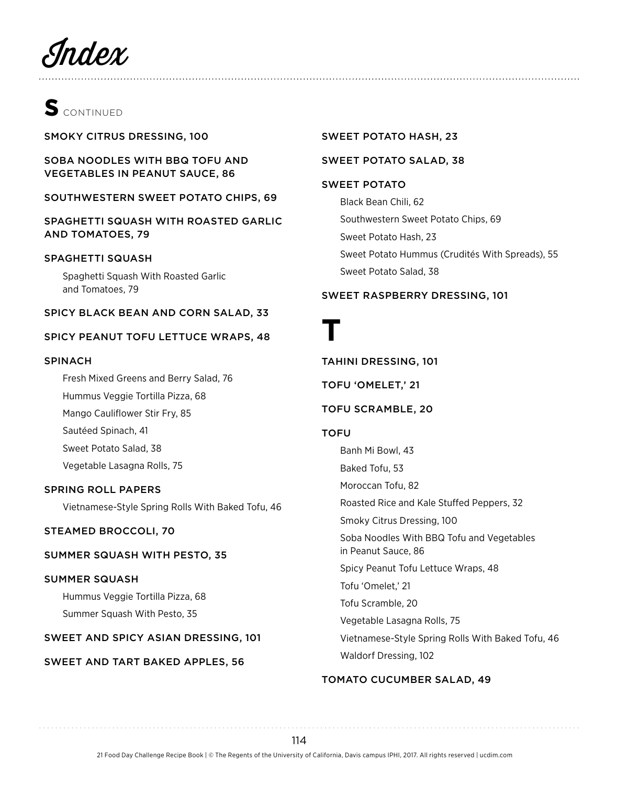Index

# **S** CONTINUED

SMOKY CITRUS DRESSING, 100

SOBA NOODLES WITH BBQ TOFU AND VEGETABLES IN PEANUT SAUCE, 86

#### SOUTHWESTERN SWEET POTATO CHIPS, 69

SPAGHETTI SQUASH WITH ROASTED GARLIC AND TOMATOES, 79

#### SPAGHETTI SQUASH

Spaghetti Squash With Roasted Garlic and Tomatoes, 79

#### SPICY BLACK BEAN AND CORN SALAD, 33

#### SPICY PEANUT TOFU LETTUCE WRAPS, 48

#### SPINACH

Fresh Mixed Greens and Berry Salad, 76 Hummus Veggie Tortilla Pizza, 68 Mango Cauliflower Stir Fry, 85 Sautéed Spinach, 41 Sweet Potato Salad, 38 Vegetable Lasagna Rolls, 75

#### SPRING ROLL PAPERS

Vietnamese-Style Spring Rolls With Baked Tofu, 46

#### STEAMED BROCCOLI, 70

#### SUMMER SQUASH WITH PESTO, 35

#### SUMMER SQUASH

Hummus Veggie Tortilla Pizza, 68 Summer Squash With Pesto, 35

#### SWEET AND SPICY ASIAN DRESSING, 101

SWEET AND TART BAKED APPLES, 56

#### SWEET POTATO HASH, 23

#### SWEET POTATO SALAD, 38

#### SWEET POTATO

Black Bean Chili, 62 Southwestern Sweet Potato Chips, 69 Sweet Potato Hash, 23 Sweet Potato Hummus (Crudités With Spreads), 55 Sweet Potato Salad, 38

#### SWEET RASPBERRY DRESSING, 101

## **T**

TAHINI DRESSING, 101

TOFU 'OMELET,' 21

TOFU SCRAMBLE, 20

#### **TOFU**

Banh Mi Bowl, 43 Baked Tofu, 53 Moroccan Tofu, 82 Roasted Rice and Kale Stuffed Peppers, 32 Smoky Citrus Dressing, 100 Soba Noodles With BBQ Tofu and Vegetables in Peanut Sauce, 86 Spicy Peanut Tofu Lettuce Wraps, 48 Tofu 'Omelet,' 21

Tofu Scramble, 20

Vegetable Lasagna Rolls, 75

Vietnamese-Style Spring Rolls With Baked Tofu, 46 Waldorf Dressing, 102

#### TOMATO CUCUMBER SALAD, 49

#### 114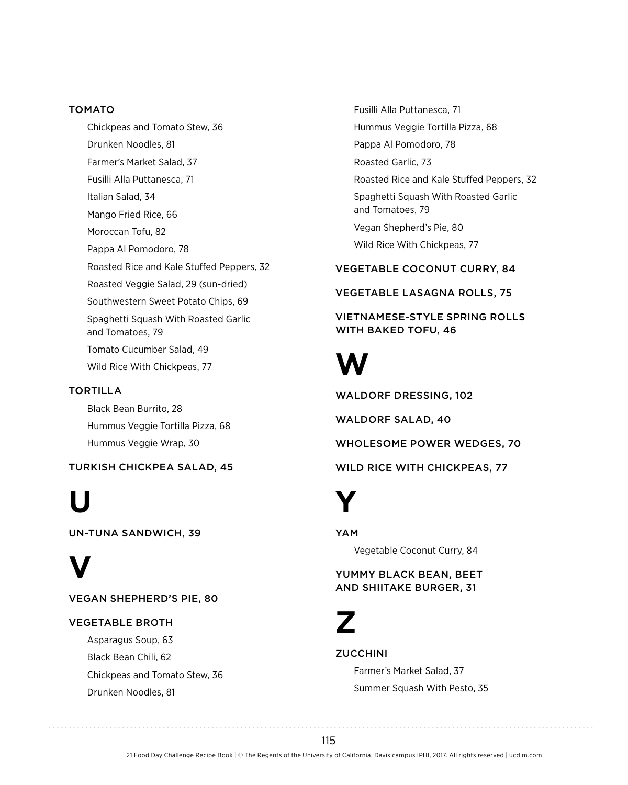#### TOMATO

Chickpeas and Tomato Stew, 36 Drunken Noodles, 81 Farmer's Market Salad, 37 Fusilli Alla Puttanesca, 71 Italian Salad, 34 Mango Fried Rice, 66 Moroccan Tofu, 82 Pappa Al Pomodoro, 78 Roasted Rice and Kale Stuffed Peppers, 32 Roasted Veggie Salad, 29 (sun-dried) Southwestern Sweet Potato Chips, 69 Spaghetti Squash With Roasted Garlic and Tomatoes, 79 Tomato Cucumber Salad, 49 Wild Rice With Chickpeas, 77

#### TORTILLA

Black Bean Burrito, 28 Hummus Veggie Tortilla Pizza, 68 Hummus Veggie Wrap, 30

TURKISH CHICKPEA SALAD, 45

## **U**

UN-TUNA SANDWICH, 39

**V**

VEGAN SHEPHERD'S PIE, 80

#### VEGETABLE BROTH

Asparagus Soup, 63 Black Bean Chili, 62 Chickpeas and Tomato Stew, 36 Drunken Noodles, 81

Fusilli Alla Puttanesca, 71 Hummus Veggie Tortilla Pizza, 68 Pappa Al Pomodoro, 78 Roasted Garlic, 73 Roasted Rice and Kale Stuffed Peppers, 32 Spaghetti Squash With Roasted Garlic and Tomatoes, 79 Vegan Shepherd's Pie, 80 Wild Rice With Chickpeas, 77

#### VEGETABLE COCONUT CURRY, 84

VEGETABLE LASAGNA ROLLS, 75

VIETNAMESE-STYLE SPRING ROLLS WITH BAKED TOFU, 46

## **W**

WALDORF DRESSING, 102 WALDORF SALAD, 40 WHOLESOME POWER WEDGES, 70

WILD RICE WITH CHICKPEAS, 77

## **Y**

YAM Vegetable Coconut Curry, 84

YUMMY BLACK BEAN, BEET AND SHIITAKE BURGER, 31

## **Z**

#### **ZUCCHINI**

Farmer's Market Salad, 37 Summer Squash With Pesto, 35

#### 115